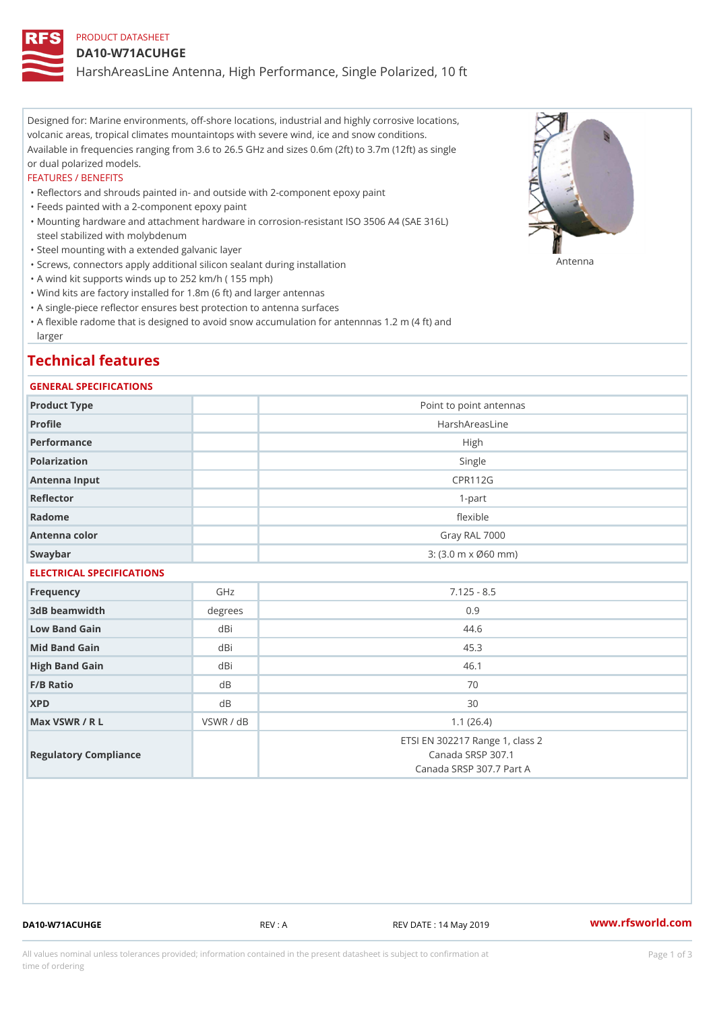## PRODUCT DATASHEET

#### DA10-W71ACUHGE

HarshAreasLine Antenna, High Performance, Single Polarized, 10 ft

Designed for: Marine environments, off-shore locations, industrial and highly corrosive locations, volcanic areas, tropical climates mountaintops with severe wind, ice and snow conditions. Available in frequencies ranging from 3.6 to 26.5 GHz and sizes 0.6m (2ft) to 3.7m (12ft) as single or dual polarized models.

#### FEATURES / BENEFITS

"Reflectors and shrouds painted in- and outside with 2-component epoxy paint

- "Feeds painted with a 2-component epoxy paint
- Mounting hardware and attachment hardware in corrosion-resistant ISO 3506 A4 (SAE 316L) " steel stabilized with molybdenum
- "Steel mounting with a extended galvanic layer
- "Screws, connectors apply additional silicon sealant during installation Antenna
- "A wind kit supports winds up to 252 km/h ( 155 mph)
- "Wind kits are factory installed for 1.8m (6 ft) and larger antennas
- "A single-piece reflector ensures best protection to antenna surfaces
- "A flexible radome that is designed to avoid snow accumulation for antennnas 1.2 m (4 ft) and larger

## Technical features

### GENERAL SPECIFICATIONS

| Product Type              |                | Point to point antennas                                                          |  |  |  |
|---------------------------|----------------|----------------------------------------------------------------------------------|--|--|--|
| Profile                   |                | HarshAreasLine                                                                   |  |  |  |
| Performance               |                | High                                                                             |  |  |  |
| Polarization              |                | Single                                                                           |  |  |  |
| Antenna Input             |                | <b>CPR112G</b>                                                                   |  |  |  |
| Reflector                 |                | $1 - p$ art                                                                      |  |  |  |
| Radome                    |                | flexible                                                                         |  |  |  |
| Antenna color             |                | Gray RAL 7000                                                                    |  |  |  |
| Swaybar                   |                | $3: (3.0 m \times 060 mm)$                                                       |  |  |  |
| ELECTRICAL SPECIFICATIONS |                |                                                                                  |  |  |  |
| Frequency                 | GHz            | $7.125 - 8.5$                                                                    |  |  |  |
| 3dB beamwidth             | degrees        | 0.9                                                                              |  |  |  |
| Low Band Gain             | dBi            | 44.6                                                                             |  |  |  |
| Mid Band Gain             | dBi            | 45.3                                                                             |  |  |  |
| High Band Gain            | dBi            | 46.1                                                                             |  |  |  |
| $F/B$ Ratio               | d B            | 70                                                                               |  |  |  |
| <b>XPD</b>                | d <sub>B</sub> | 30                                                                               |  |  |  |
| Max VSWR / R L            | VSWR / dB      | 1.1(26.4)                                                                        |  |  |  |
| Regulatory Compliance     |                | ETSI EN 302217 Range 1, class 2<br>Canada SRSP 307.1<br>Canada SRSP 307.7 Part A |  |  |  |

DA10-W71ACUHGE REV : A REV DATE : 14 May 2019 WWW.rfsworld.com

All values nominal unless tolerances provided; information contained in the present datasheet is subject to Pcapgeign mation time of ordering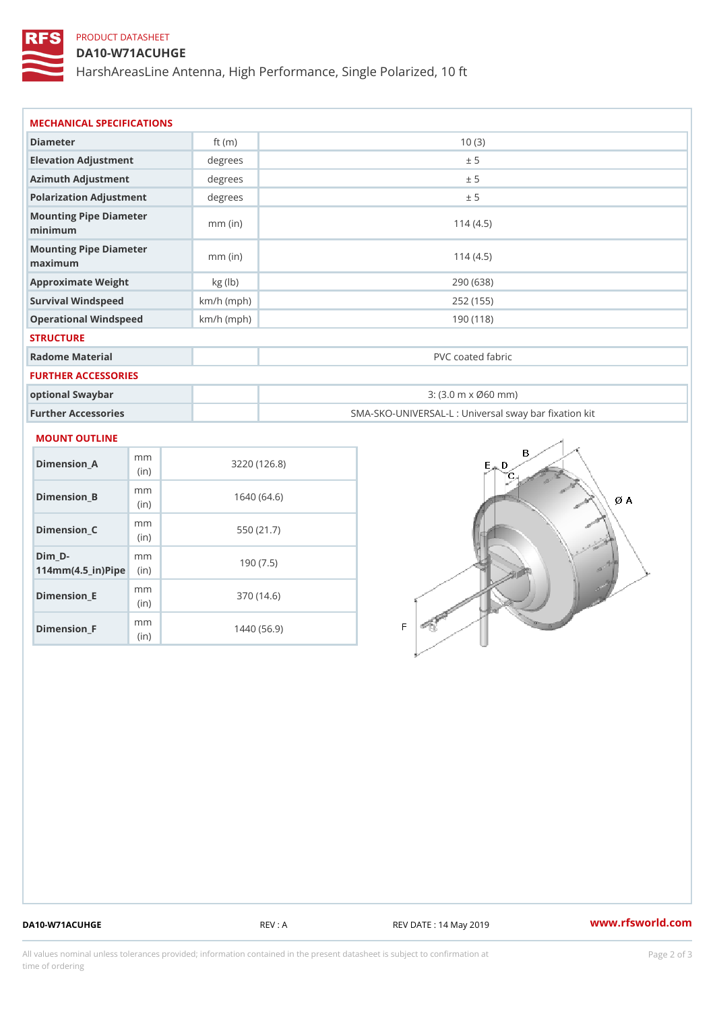# PRODUCT DATASHEET

## DA10-W71ACUHGE

HarshAreasLine Antenna, High Performance, Single Polarized, 10 ft

| Diameter                          | ft $(m)$     | 10(3)                                                   |
|-----------------------------------|--------------|---------------------------------------------------------|
| Elevation Adjustment              | degree:      | ± 5                                                     |
| Azimuth Adjustment                | degree       | ± 5                                                     |
| Polarization Adjustment           | degree:      | ± 5                                                     |
| Mounting Pipe Diameter<br>minimum | $mm$ (in)    | 114(4.5)                                                |
| Mounting Pipe Diameter<br>maximum | $mm$ (in)    | 114(4.5)                                                |
| Approximate Weight                | kg (lb)      | 290 (638)                                               |
| Survival Windspeed                | $km/h$ (mph) | 252 (155)                                               |
| Operational Windspeed             | $km/h$ (mph) | 190 (118)                                               |
| <b>STRUCTURE</b>                  |              |                                                         |
| Radome Material                   |              | PVC coated fabric                                       |
| FURTHER ACCESSORIES               |              |                                                         |
| optional Swaybar                  |              | $3: (3.0 \, \text{m} \times \emptyset 60 \, \text{mm})$ |
| Further Accessories               |              | SMA-SKO-UNIVERSAL-L : Universal sway bar fixation       |

#### MOUNT OUTLINE

| Dimension_A                                     | m m<br>(i n) | 3220 (126.8) |
|-------------------------------------------------|--------------|--------------|
| Dimension_B                                     | m m<br>(i n) | 1640 (64.6)  |
| Dimension C                                     | m m<br>(i n) | 550 (21.7)   |
| Dim D-<br>$114$ m m $(4.5$ in $)$ P ii p $\geq$ | m m          | 190 (7.5)    |
| Dimension E                                     | m m<br>(i n) | 370 (14.6)   |
| Dimension <sub>_F</sub>                         | m m<br>(in   | 1440 (56.9)  |

DA10-W71ACUHGE REV : A REV DATE : 14 May 2019 [www.](https://www.rfsworld.com)rfsworld.com